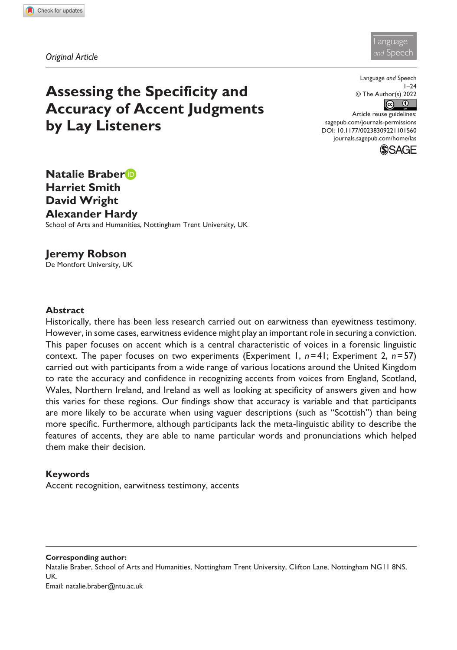



# **Assessing the Specificity and Accuracy of Accent Judgments by Lay Listeners**

Language *and* Speech  $1 - 24$ © The Author(s) 2022  $\odot$  $\odot$ Article reuse guidelines: [sagepub.com/journals-permissions](https://uk.sagepub.com/en-gb/journals-permissions) DOI: 10.1177/00238309221101560

[journals.sagepub.com/home/las](https://journals.sagepub.com/home/las)



**Natalie Braber Harriet Smith David Wright Alexander Hardy**

School of Arts and Humanities, Nottingham Trent University, UK

**Jeremy Robson** De Montfort University, UK

#### **Abstract**

Historically, there has been less research carried out on earwitness than eyewitness testimony. However, in some cases, earwitness evidence might play an important role in securing a conviction. This paper focuses on accent which is a central characteristic of voices in a forensic linguistic context. The paper focuses on two experiments (Experiment 1, *n*=41; Experiment 2, *n*=57) carried out with participants from a wide range of various locations around the United Kingdom to rate the accuracy and confidence in recognizing accents from voices from England, Scotland, Wales, Northern Ireland, and Ireland as well as looking at specificity of answers given and how this varies for these regions. Our findings show that accuracy is variable and that participants are more likely to be accurate when using vaguer descriptions (such as "Scottish") than being more specific. Furthermore, although participants lack the meta-linguistic ability to describe the features of accents, they are able to name particular words and pronunciations which helped them make their decision.

### **Keywords**

Accent recognition, earwitness testimony, accents

#### **Corresponding author:**

Natalie Braber, School of Arts and Humanities, Nottingham Trent University, Clifton Lane, Nottingham NG11 8NS, UK.

Email: [natalie.braber@ntu.ac.uk](mailto:natalie.braber@ntu.ac.uk)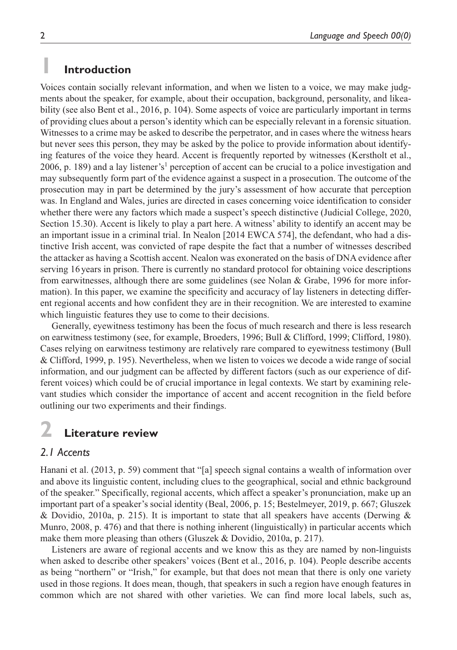# **1 Introduction**

Voices contain socially relevant information, and when we listen to a voice, we may make judgments about the speaker, for example, about their occupation, background, personality, and likeability (see also Bent et al., 2016, p. 104). Some aspects of voice are particularly important in terms of providing clues about a person's identity which can be especially relevant in a forensic situation. Witnesses to a crime may be asked to describe the perpetrator, and in cases where the witness hears but never sees this person, they may be asked by the police to provide information about identifying features of the voice they heard. Accent is frequently reported by witnesses (Kerstholt et al., 2006, p. 189) and a lay listener's<sup>1</sup> perception of accent can be crucial to a police investigation and may subsequently form part of the evidence against a suspect in a prosecution. The outcome of the prosecution may in part be determined by the jury's assessment of how accurate that perception was. In England and Wales, juries are directed in cases concerning voice identification to consider whether there were any factors which made a suspect's speech distinctive (Judicial College, 2020, Section 15.30). Accent is likely to play a part here. A witness' ability to identify an accent may be an important issue in a criminal trial. In Nealon [2014 EWCA 574], the defendant, who had a distinctive Irish accent, was convicted of rape despite the fact that a number of witnesses described the attacker as having a Scottish accent. Nealon was exonerated on the basis of DNA evidence after serving 16years in prison. There is currently no standard protocol for obtaining voice descriptions from earwitnesses, although there are some guidelines (see Nolan & Grabe, 1996 for more information). In this paper, we examine the specificity and accuracy of lay listeners in detecting different regional accents and how confident they are in their recognition. We are interested to examine which linguistic features they use to come to their decisions.

Generally, eyewitness testimony has been the focus of much research and there is less research on earwitness testimony (see, for example, Broeders, 1996; Bull & Clifford, 1999; Clifford, 1980). Cases relying on earwitness testimony are relatively rare compared to eyewitness testimony (Bull & Clifford, 1999, p. 195). Nevertheless, when we listen to voices we decode a wide range of social information, and our judgment can be affected by different factors (such as our experience of different voices) which could be of crucial importance in legal contexts. We start by examining relevant studies which consider the importance of accent and accent recognition in the field before outlining our two experiments and their findings.

# **2 Literature review**

## *2.1 Accents*

Hanani et al. (2013, p. 59) comment that "[a] speech signal contains a wealth of information over and above its linguistic content, including clues to the geographical, social and ethnic background of the speaker." Specifically, regional accents, which affect a speaker's pronunciation, make up an important part of a speaker's social identity (Beal, 2006, p. 15; Bestelmeyer, 2019, p. 667; Gluszek & Dovidio, 2010a, p. 215). It is important to state that all speakers have accents (Derwing & Munro, 2008, p. 476) and that there is nothing inherent (linguistically) in particular accents which make them more pleasing than others (Gluszek & Dovidio, 2010a, p. 217).

Listeners are aware of regional accents and we know this as they are named by non-linguists when asked to describe other speakers' voices (Bent et al., 2016, p. 104). People describe accents as being "northern" or "Irish," for example, but that does not mean that there is only one variety used in those regions. It does mean, though, that speakers in such a region have enough features in common which are not shared with other varieties. We can find more local labels, such as,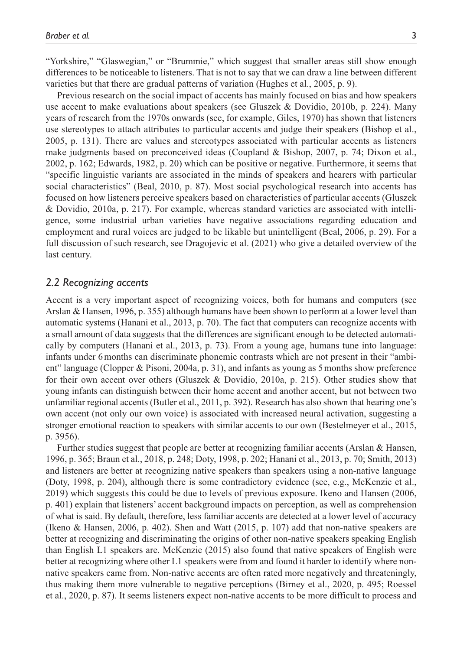"Yorkshire," "Glaswegian," or "Brummie," which suggest that smaller areas still show enough differences to be noticeable to listeners. That is not to say that we can draw a line between different varieties but that there are gradual patterns of variation (Hughes et al., 2005, p. 9).

Previous research on the social impact of accents has mainly focused on bias and how speakers use accent to make evaluations about speakers (see Gluszek & Dovidio, 2010b, p. 224). Many years of research from the 1970s onwards (see, for example, Giles, 1970) has shown that listeners use stereotypes to attach attributes to particular accents and judge their speakers (Bishop et al., 2005, p. 131). There are values and stereotypes associated with particular accents as listeners make judgments based on preconceived ideas (Coupland & Bishop, 2007, p. 74; Dixon et al., 2002, p. 162; Edwards, 1982, p. 20) which can be positive or negative. Furthermore, it seems that "specific linguistic variants are associated in the minds of speakers and hearers with particular social characteristics" (Beal, 2010, p. 87). Most social psychological research into accents has focused on how listeners perceive speakers based on characteristics of particular accents (Gluszek & Dovidio, 2010a, p. 217). For example, whereas standard varieties are associated with intelligence, some industrial urban varieties have negative associations regarding education and employment and rural voices are judged to be likable but unintelligent (Beal, 2006, p. 29). For a full discussion of such research, see Dragojevic et al. (2021) who give a detailed overview of the last century.

### *2.2 Recognizing accents*

Accent is a very important aspect of recognizing voices, both for humans and computers (see Arslan & Hansen, 1996, p. 355) although humans have been shown to perform at a lower level than automatic systems (Hanani et al., 2013, p. 70). The fact that computers can recognize accents with a small amount of data suggests that the differences are significant enough to be detected automatically by computers (Hanani et al., 2013, p. 73). From a young age, humans tune into language: infants under 6months can discriminate phonemic contrasts which are not present in their "ambient" language (Clopper & Pisoni, 2004a, p. 31), and infants as young as 5months show preference for their own accent over others (Gluszek & Dovidio, 2010a, p. 215). Other studies show that young infants can distinguish between their home accent and another accent, but not between two unfamiliar regional accents (Butler et al., 2011, p. 392). Research has also shown that hearing one's own accent (not only our own voice) is associated with increased neural activation, suggesting a stronger emotional reaction to speakers with similar accents to our own (Bestelmeyer et al., 2015, p. 3956).

Further studies suggest that people are better at recognizing familiar accents (Arslan & Hansen, 1996, p. 365; Braun et al., 2018, p. 248; Doty, 1998, p. 202; Hanani et al., 2013, p. 70; Smith, 2013) and listeners are better at recognizing native speakers than speakers using a non-native language (Doty, 1998, p. 204), although there is some contradictory evidence (see, e.g., McKenzie et al., 2019) which suggests this could be due to levels of previous exposure. Ikeno and Hansen (2006, p. 401) explain that listeners' accent background impacts on perception, as well as comprehension of what is said. By default, therefore, less familiar accents are detected at a lower level of accuracy (Ikeno & Hansen, 2006, p. 402). Shen and Watt (2015, p. 107) add that non-native speakers are better at recognizing and discriminating the origins of other non-native speakers speaking English than English L1 speakers are. McKenzie (2015) also found that native speakers of English were better at recognizing where other L1 speakers were from and found it harder to identify where nonnative speakers came from. Non-native accents are often rated more negatively and threateningly, thus making them more vulnerable to negative perceptions (Birney et al., 2020, p. 495; Roessel et al., 2020, p. 87). It seems listeners expect non-native accents to be more difficult to process and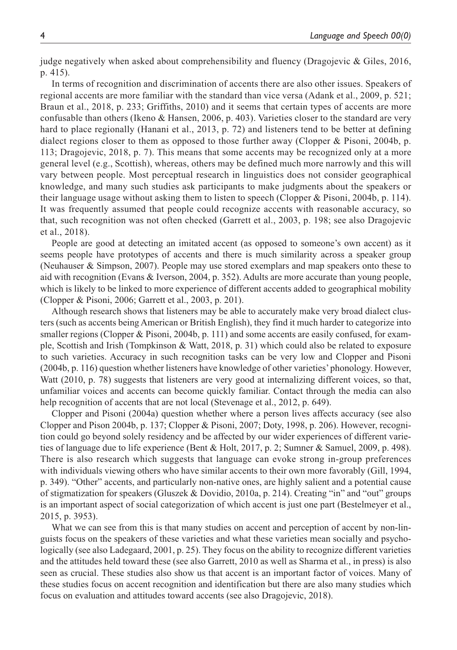judge negatively when asked about comprehensibility and fluency (Dragojevic & Giles, 2016, p. 415).

In terms of recognition and discrimination of accents there are also other issues. Speakers of regional accents are more familiar with the standard than vice versa (Adank et al., 2009, p. 521; Braun et al., 2018, p. 233; Griffiths, 2010) and it seems that certain types of accents are more confusable than others (Ikeno & Hansen, 2006, p. 403). Varieties closer to the standard are very hard to place regionally (Hanani et al., 2013, p. 72) and listeners tend to be better at defining dialect regions closer to them as opposed to those further away (Clopper & Pisoni, 2004b, p. 113; Dragojevic, 2018, p. 7). This means that some accents may be recognized only at a more general level (e.g., Scottish), whereas, others may be defined much more narrowly and this will vary between people. Most perceptual research in linguistics does not consider geographical knowledge, and many such studies ask participants to make judgments about the speakers or their language usage without asking them to listen to speech (Clopper & Pisoni, 2004b, p. 114). It was frequently assumed that people could recognize accents with reasonable accuracy, so that, such recognition was not often checked (Garrett et al., 2003, p. 198; see also Dragojevic et al., 2018).

People are good at detecting an imitated accent (as opposed to someone's own accent) as it seems people have prototypes of accents and there is much similarity across a speaker group (Neuhauser & Simpson, 2007). People may use stored exemplars and map speakers onto these to aid with recognition (Evans & Iverson, 2004, p. 352). Adults are more accurate than young people, which is likely to be linked to more experience of different accents added to geographical mobility (Clopper & Pisoni, 2006; Garrett et al., 2003, p. 201).

Although research shows that listeners may be able to accurately make very broad dialect clusters (such as accents being American or British English), they find it much harder to categorize into smaller regions (Clopper & Pisoni, 2004b, p. 111) and some accents are easily confused, for example, Scottish and Irish (Tompkinson & Watt, 2018, p. 31) which could also be related to exposure to such varieties. Accuracy in such recognition tasks can be very low and Clopper and Pisoni (2004b, p. 116) question whether listeners have knowledge of other varieties' phonology. However, Watt (2010, p. 78) suggests that listeners are very good at internalizing different voices, so that, unfamiliar voices and accents can become quickly familiar. Contact through the media can also help recognition of accents that are not local (Stevenage et al., 2012, p. 649).

Clopper and Pisoni (2004a) question whether where a person lives affects accuracy (see also Clopper and Pison 2004b, p. 137; Clopper & Pisoni, 2007; Doty, 1998, p. 206). However, recognition could go beyond solely residency and be affected by our wider experiences of different varieties of language due to life experience (Bent & Holt, 2017, p. 2; Sumner & Samuel, 2009, p. 498). There is also research which suggests that language can evoke strong in-group preferences with individuals viewing others who have similar accents to their own more favorably (Gill, 1994, p. 349). "Other" accents, and particularly non-native ones, are highly salient and a potential cause of stigmatization for speakers (Gluszek & Dovidio, 2010a, p. 214). Creating "in" and "out" groups is an important aspect of social categorization of which accent is just one part (Bestelmeyer et al., 2015, p. 3953).

What we can see from this is that many studies on accent and perception of accent by non-linguists focus on the speakers of these varieties and what these varieties mean socially and psychologically (see also Ladegaard, 2001, p. 25). They focus on the ability to recognize different varieties and the attitudes held toward these (see also Garrett, 2010 as well as Sharma et al., in press) is also seen as crucial. These studies also show us that accent is an important factor of voices. Many of these studies focus on accent recognition and identification but there are also many studies which focus on evaluation and attitudes toward accents (see also Dragojevic, 2018).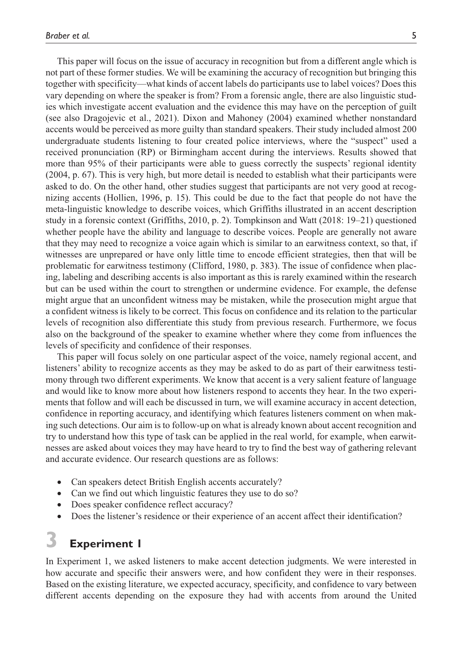This paper will focus on the issue of accuracy in recognition but from a different angle which is not part of these former studies. We will be examining the accuracy of recognition but bringing this together with specificity—what kinds of accent labels do participants use to label voices? Does this vary depending on where the speaker is from? From a forensic angle, there are also linguistic studies which investigate accent evaluation and the evidence this may have on the perception of guilt (see also Dragojevic et al., 2021). Dixon and Mahoney (2004) examined whether nonstandard accents would be perceived as more guilty than standard speakers. Their study included almost 200 undergraduate students listening to four created police interviews, where the "suspect" used a received pronunciation (RP) or Birmingham accent during the interviews. Results showed that more than 95% of their participants were able to guess correctly the suspects' regional identity (2004, p. 67). This is very high, but more detail is needed to establish what their participants were asked to do. On the other hand, other studies suggest that participants are not very good at recognizing accents (Hollien, 1996, p. 15). This could be due to the fact that people do not have the meta-linguistic knowledge to describe voices, which Griffiths illustrated in an accent description study in a forensic context (Griffiths, 2010, p. 2). Tompkinson and Watt (2018: 19–21) questioned whether people have the ability and language to describe voices. People are generally not aware that they may need to recognize a voice again which is similar to an earwitness context, so that, if witnesses are unprepared or have only little time to encode efficient strategies, then that will be problematic for earwitness testimony (Clifford, 1980, p. 383). The issue of confidence when placing, labeling and describing accents is also important as this is rarely examined within the research but can be used within the court to strengthen or undermine evidence. For example, the defense might argue that an unconfident witness may be mistaken, while the prosecution might argue that a confident witness is likely to be correct. This focus on confidence and its relation to the particular levels of recognition also differentiate this study from previous research. Furthermore, we focus also on the background of the speaker to examine whether where they come from influences the levels of specificity and confidence of their responses.

This paper will focus solely on one particular aspect of the voice, namely regional accent, and listeners' ability to recognize accents as they may be asked to do as part of their earwitness testimony through two different experiments. We know that accent is a very salient feature of language and would like to know more about how listeners respond to accents they hear. In the two experiments that follow and will each be discussed in turn, we will examine accuracy in accent detection, confidence in reporting accuracy, and identifying which features listeners comment on when making such detections. Our aim is to follow-up on what is already known about accent recognition and try to understand how this type of task can be applied in the real world, for example, when earwitnesses are asked about voices they may have heard to try to find the best way of gathering relevant and accurate evidence. Our research questions are as follows:

- Can speakers detect British English accents accurately?
- Can we find out which linguistic features they use to do so?
- Does speaker confidence reflect accuracy?
- Does the listener's residence or their experience of an accent affect their identification?

# **3 Experiment 1**

In Experiment 1, we asked listeners to make accent detection judgments. We were interested in how accurate and specific their answers were, and how confident they were in their responses. Based on the existing literature, we expected accuracy, specificity, and confidence to vary between different accents depending on the exposure they had with accents from around the United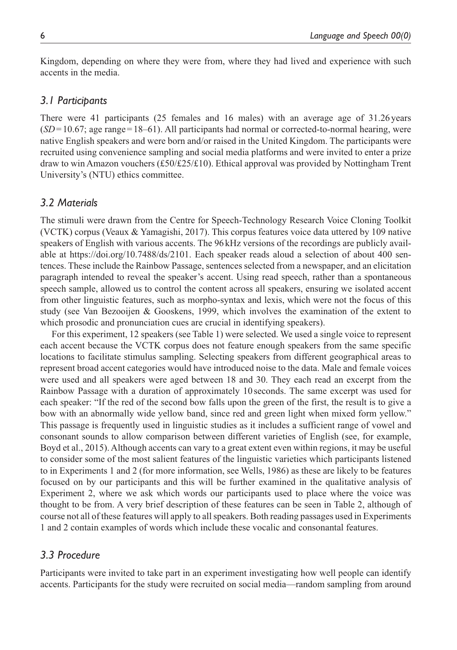Kingdom, depending on where they were from, where they had lived and experience with such accents in the media.

### *3.1 Participants*

There were 41 participants (25 females and 16 males) with an average age of 31.26 years (*SD*=10.67; age range=18–61). All participants had normal or corrected-to-normal hearing, were native English speakers and were born and/or raised in the United Kingdom. The participants were recruited using convenience sampling and social media platforms and were invited to enter a prize draw to win Amazon vouchers (£50/£25/£10). Ethical approval was provided by Nottingham Trent University's (NTU) ethics committee.

### *3.2 Materials*

The stimuli were drawn from the Centre for Speech-Technology Research Voice Cloning Toolkit (VCTK) corpus (Veaux & Yamagishi, 2017). This corpus features voice data uttered by 109 native speakers of English with various accents. The 96kHz versions of the recordings are publicly available at <https://doi.org/10.7488/ds/2101>. Each speaker reads aloud a selection of about 400 sentences. These include the Rainbow Passage, sentences selected from a newspaper, and an elicitation paragraph intended to reveal the speaker's accent. Using read speech, rather than a spontaneous speech sample, allowed us to control the content across all speakers, ensuring we isolated accent from other linguistic features, such as morpho-syntax and lexis, which were not the focus of this study (see Van Bezooijen & Gooskens, 1999, which involves the examination of the extent to which prosodic and pronunciation cues are crucial in identifying speakers).

For this experiment, 12 speakers (see Table 1) were selected. We used a single voice to represent each accent because the VCTK corpus does not feature enough speakers from the same specific locations to facilitate stimulus sampling. Selecting speakers from different geographical areas to represent broad accent categories would have introduced noise to the data. Male and female voices were used and all speakers were aged between 18 and 30. They each read an excerpt from the Rainbow Passage with a duration of approximately 10seconds. The same excerpt was used for each speaker: "If the red of the second bow falls upon the green of the first, the result is to give a bow with an abnormally wide yellow band, since red and green light when mixed form yellow." This passage is frequently used in linguistic studies as it includes a sufficient range of vowel and consonant sounds to allow comparison between different varieties of English (see, for example, Boyd et al., 2015). Although accents can vary to a great extent even within regions, it may be useful to consider some of the most salient features of the linguistic varieties which participants listened to in Experiments 1 and 2 (for more information, see Wells, 1986) as these are likely to be features focused on by our participants and this will be further examined in the qualitative analysis of Experiment 2, where we ask which words our participants used to place where the voice was thought to be from. A very brief description of these features can be seen in Table 2, although of course not all of these features will apply to all speakers. Both reading passages used in Experiments 1 and 2 contain examples of words which include these vocalic and consonantal features.

### *3.3 Procedure*

Participants were invited to take part in an experiment investigating how well people can identify accents. Participants for the study were recruited on social media—random sampling from around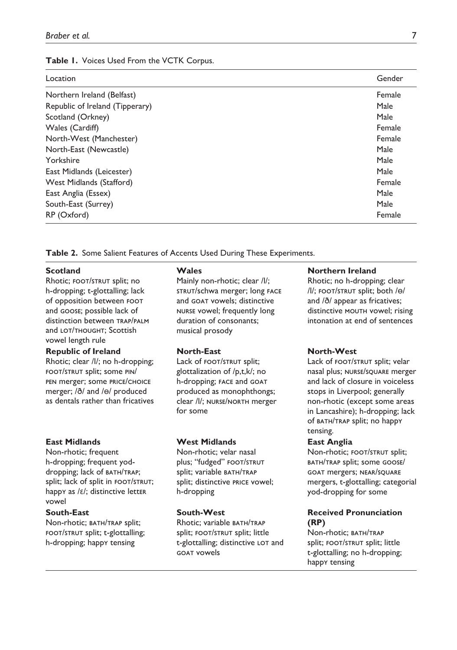#### **Table 1.** Voices Used From the VCTK Corpus.

| Location                        | Gender |
|---------------------------------|--------|
| Northern Ireland (Belfast)      | Female |
| Republic of Ireland (Tipperary) | Male   |
| Scotland (Orkney)               | Male   |
| Wales (Cardiff)                 | Female |
| North-West (Manchester)         | Female |
| North-East (Newcastle)          | Male   |
| Yorkshire                       | Male   |
| East Midlands (Leicester)       | Male   |
| West Midlands (Stafford)        | Female |
| East Anglia (Essex)             | Male   |
| South-East (Surrey)             | Male   |
| RP (Oxford)                     | Female |

**Table 2.** Some Salient Features of Accents Used During These Experiments.

### **Scotland**

Rhotic; FOOT/STRUT split; no h-dropping; t-glottalling; lack of opposition between foot and goose; possible lack of distinction between trap/palm and LOT/THOUGHT: Scottish vowel length rule

#### **Republic of Ireland**

Rhotic; clear /l/; no h-dropping; foot/strut split; some pin/ pen merger; some price/choice merger; /ð/ and /ɵ/ produced as dentals rather than fricatives

#### **East Midlands**

Non-rhotic; frequent h-dropping; frequent yoddropping; lack of BATH/TRAP; split; lack of split in FOOT/STRUT; happy as /ɛ/; distinctive letter vowel

#### **South-East**

Non-rhotic; BATH/TRAP split; foot/strut split; t-glottalling; h-dropping; happy tensing

#### **Wales**

Mainly non-rhotic; clear /l/; strut/schwa merger; long face and goat vowels; distinctive nurse vowel; frequently long duration of consonants; musical prosody

#### **North-East**

Lack of **FOOT**/STRUT split; glottalization of /p,t,k/; no h-dropping; face and goat produced as monophthongs; clear /l/; nurse/north merger for some

#### **West Midlands**

Non-rhotic; velar nasal plus; "fudged" FOOT/STRUT split; variable BATH/TRAP split; distinctive price vowel; h-dropping

### **South-West**

Rhotic: variable BATH/TRAP split; FOOT/STRUT split; little t-glottalling; distinctive LOT and goat vowels

#### **Northern Ireland**

Rhotic; no h-dropping; clear /l/; foot/strut split; both /ɵ/ and /ð/ appear as fricatives; distinctive MOUTH vowel; rising intonation at end of sentences

#### **North-West**

Lack of FOOT/STRUT split; velar nasal plus; nurse/square merger and lack of closure in voiceless stops in Liverpool; generally non-rhotic (except some areas in Lancashire); h-dropping; lack of BATH/TRAP split; no happy tensing.

#### **East Anglia**

Non-rhotic; FOOT/STRUT split; bath/trap split; some goose/ goat mergers; near/square mergers, t-glottalling; categorial yod-dropping for some

### **Received Pronunciation (RP)**

Non-rhotic; BATH/TRAP split; FOOT/STRUT split; little t-glottalling; no h-dropping; happy tensing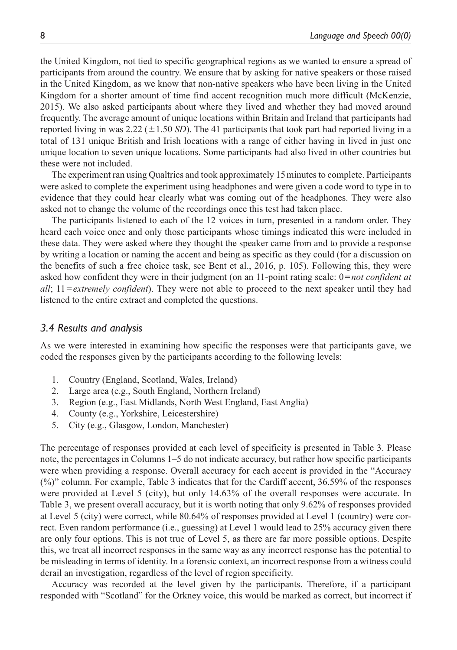the United Kingdom, not tied to specific geographical regions as we wanted to ensure a spread of participants from around the country. We ensure that by asking for native speakers or those raised in the United Kingdom, as we know that non-native speakers who have been living in the United Kingdom for a shorter amount of time find accent recognition much more difficult (McKenzie, 2015). We also asked participants about where they lived and whether they had moved around frequently. The average amount of unique locations within Britain and Ireland that participants had reported living in was 2.22  $(\pm 1.50 \text{ SD})$ . The 41 participants that took part had reported living in a total of 131 unique British and Irish locations with a range of either having in lived in just one unique location to seven unique locations. Some participants had also lived in other countries but these were not included.

The experiment ran using Qualtrics and took approximately 15minutes to complete. Participants were asked to complete the experiment using headphones and were given a code word to type in to evidence that they could hear clearly what was coming out of the headphones. They were also asked not to change the volume of the recordings once this test had taken place.

The participants listened to each of the 12 voices in turn, presented in a random order. They heard each voice once and only those participants whose timings indicated this were included in these data. They were asked where they thought the speaker came from and to provide a response by writing a location or naming the accent and being as specific as they could (for a discussion on the benefits of such a free choice task, see Bent et al., 2016, p. 105). Following this, they were asked how confident they were in their judgment (on an 11-point rating scale: 0=*not confident at all*; 11=*extremely confident*). They were not able to proceed to the next speaker until they had listened to the entire extract and completed the questions.

### *3.4 Results and analysis*

As we were interested in examining how specific the responses were that participants gave, we coded the responses given by the participants according to the following levels:

- 1. Country (England, Scotland, Wales, Ireland)
- 2. Large area (e.g., South England, Northern Ireland)
- 3. Region (e.g., East Midlands, North West England, East Anglia)
- 4. County (e.g., Yorkshire, Leicestershire)
- 5. City (e.g., Glasgow, London, Manchester)

The percentage of responses provided at each level of specificity is presented in Table 3. Please note, the percentages in Columns 1–5 do not indicate accuracy, but rather how specific participants were when providing a response. Overall accuracy for each accent is provided in the "Accuracy (%)" column. For example, Table 3 indicates that for the Cardiff accent, 36.59% of the responses were provided at Level 5 (city), but only 14.63% of the overall responses were accurate. In Table 3, we present overall accuracy, but it is worth noting that only 9.62% of responses provided at Level 5 (city) were correct, while 80.64% of responses provided at Level 1 (country) were correct. Even random performance (i.e., guessing) at Level 1 would lead to 25% accuracy given there are only four options. This is not true of Level 5, as there are far more possible options. Despite this, we treat all incorrect responses in the same way as any incorrect response has the potential to be misleading in terms of identity. In a forensic context, an incorrect response from a witness could derail an investigation, regardless of the level of region specificity.

Accuracy was recorded at the level given by the participants. Therefore, if a participant responded with "Scotland" for the Orkney voice, this would be marked as correct, but incorrect if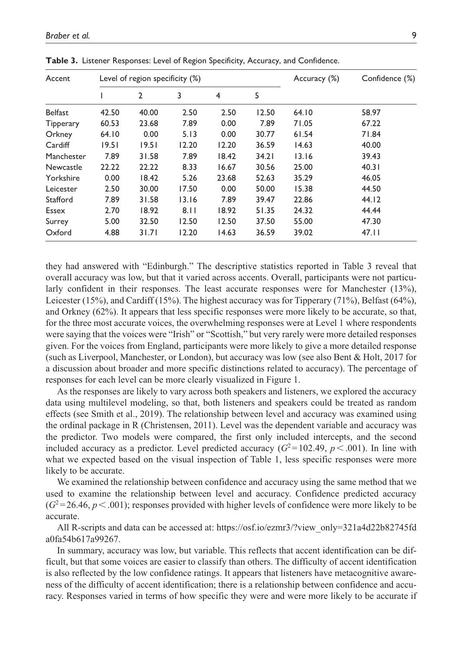| Accent           | Level of region specificity (%) |              |       |       |       | Accuracy (%) | Confidence (%) |
|------------------|---------------------------------|--------------|-------|-------|-------|--------------|----------------|
|                  |                                 | $\mathbf{2}$ | 3     | 4     | 5     |              |                |
| <b>Belfast</b>   | 42.50                           | 40.00        | 2.50  | 2.50  | 12.50 | 64.10        | 58.97          |
| <b>Tipperary</b> | 60.53                           | 23.68        | 7.89  | 0.00  | 7.89  | 71.05        | 67.22          |
| Orkney           | 64.10                           | 0.00         | 5.13  | 0.00  | 30.77 | 61.54        | 71.84          |
| Cardiff          | 19.51                           | 19.51        | 12.20 | 12.20 | 36.59 | 14.63        | 40.00          |
| Manchester       | 7.89                            | 31.58        | 7.89  | 18.42 | 34.21 | 13.16        | 39.43          |
| Newcastle        | 22.22                           | 22.22        | 8.33  | 16.67 | 30.56 | 25.00        | 40.31          |
| Yorkshire        | 0.00                            | 18.42        | 5.26  | 23.68 | 52.63 | 35.29        | 46.05          |
| Leicester        | 2.50                            | 30.00        | 17.50 | 0.00  | 50.00 | 15.38        | 44.50          |
| Stafford         | 7.89                            | 31.58        | 13.16 | 7.89  | 39.47 | 22.86        | 44.12          |
| Essex            | 2.70                            | 18.92        | 8.11  | 18.92 | 51.35 | 24.32        | 44.44          |
| Surrey           | 5.00                            | 32.50        | 12.50 | 12.50 | 37.50 | 55.00        | 47.30          |
| Oxford           | 4.88                            | 31.71        | 12.20 | 14.63 | 36.59 | 39.02        | 47.11          |

**Table 3.** Listener Responses: Level of Region Specificity, Accuracy, and Confidence.

they had answered with "Edinburgh." The descriptive statistics reported in Table 3 reveal that overall accuracy was low, but that it varied across accents. Overall, participants were not particularly confident in their responses. The least accurate responses were for Manchester (13%), Leicester (15%), and Cardiff (15%). The highest accuracy was for Tipperary (71%), Belfast (64%), and Orkney (62%). It appears that less specific responses were more likely to be accurate, so that, for the three most accurate voices, the overwhelming responses were at Level 1 where respondents were saying that the voices were "Irish" or "Scottish," but very rarely were more detailed responses given. For the voices from England, participants were more likely to give a more detailed response (such as Liverpool, Manchester, or London), but accuracy was low (see also Bent & Holt, 2017 for a discussion about broader and more specific distinctions related to accuracy). The percentage of responses for each level can be more clearly visualized in Figure 1.

As the responses are likely to vary across both speakers and listeners, we explored the accuracy data using multilevel modeling, so that, both listeners and speakers could be treated as random effects (see Smith et al., 2019). The relationship between level and accuracy was examined using the ordinal package in R (Christensen, 2011). Level was the dependent variable and accuracy was the predictor. Two models were compared, the first only included intercepts, and the second included accuracy as a predictor. Level predicted accuracy  $(G^2=102.49, p<.001)$ . In line with what we expected based on the visual inspection of Table 1, less specific responses were more likely to be accurate.

We examined the relationship between confidence and accuracy using the same method that we used to examine the relationship between level and accuracy. Confidence predicted accuracy  $(G<sup>2</sup>=26.46, p<.001)$ ; responses provided with higher levels of confidence were more likely to be accurate.

All R-scripts and data can be accessed at: [https://osf.io/ezmr3/?view\\_only=321a4d22b82745fd](https://osf.io/ezmr3/?view_only=321a4d22b82745fda0fa54b617a99267) [a0fa54b617a99267.](https://osf.io/ezmr3/?view_only=321a4d22b82745fda0fa54b617a99267)

In summary, accuracy was low, but variable. This reflects that accent identification can be difficult, but that some voices are easier to classify than others. The difficulty of accent identification is also reflected by the low confidence ratings. It appears that listeners have metacognitive awareness of the difficulty of accent identification; there is a relationship between confidence and accuracy. Responses varied in terms of how specific they were and were more likely to be accurate if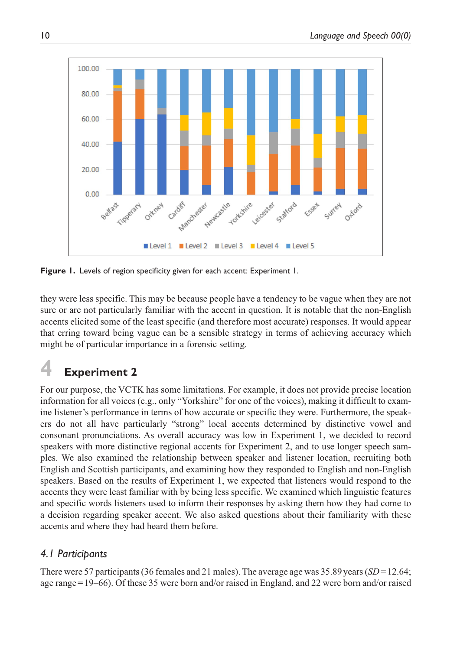

**Figure 1.** Levels of region specificity given for each accent: Experiment 1.

they were less specific. This may be because people have a tendency to be vague when they are not sure or are not particularly familiar with the accent in question. It is notable that the non-English accents elicited some of the least specific (and therefore most accurate) responses. It would appear that erring toward being vague can be a sensible strategy in terms of achieving accuracy which might be of particular importance in a forensic setting.

# **4 Experiment 2**

For our purpose, the VCTK has some limitations. For example, it does not provide precise location information for all voices (e.g., only "Yorkshire" for one of the voices), making it difficult to examine listener's performance in terms of how accurate or specific they were. Furthermore, the speakers do not all have particularly "strong" local accents determined by distinctive vowel and consonant pronunciations. As overall accuracy was low in Experiment 1, we decided to record speakers with more distinctive regional accents for Experiment 2, and to use longer speech samples. We also examined the relationship between speaker and listener location, recruiting both English and Scottish participants, and examining how they responded to English and non-English speakers. Based on the results of Experiment 1, we expected that listeners would respond to the accents they were least familiar with by being less specific. We examined which linguistic features and specific words listeners used to inform their responses by asking them how they had come to a decision regarding speaker accent. We also asked questions about their familiarity with these accents and where they had heard them before.

## *4.1 Participants*

There were 57 participants (36 females and 21 males). The average age was 35.89years (*SD*=12.64; age range=19–66). Of these 35 were born and/or raised in England, and 22 were born and/or raised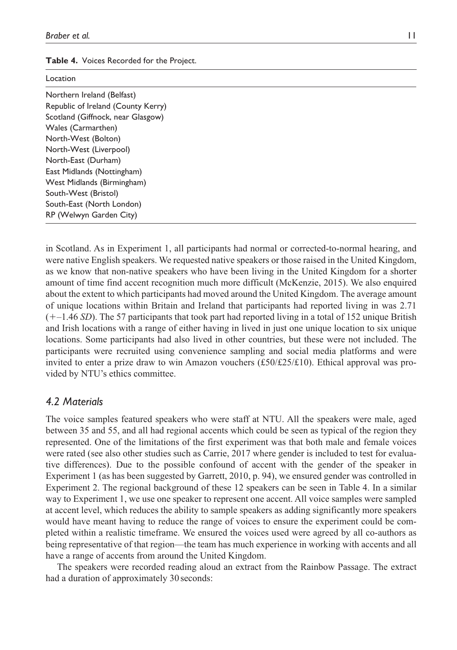|  |  | Table 4. Voices Recorded for the Project. |  |  |
|--|--|-------------------------------------------|--|--|
|--|--|-------------------------------------------|--|--|

| Location                           |
|------------------------------------|
| Northern Ireland (Belfast)         |
| Republic of Ireland (County Kerry) |
| Scotland (Giffnock, near Glasgow)  |
| Wales (Carmarthen)                 |
| North-West (Bolton)                |
| North-West (Liverpool)             |
| North-East (Durham)                |
| East Midlands (Nottingham)         |
| West Midlands (Birmingham)         |
| South-West (Bristol)               |
| South-East (North London)          |
| RP (Welwyn Garden City)            |

in Scotland. As in Experiment 1, all participants had normal or corrected-to-normal hearing, and were native English speakers. We requested native speakers or those raised in the United Kingdom, as we know that non-native speakers who have been living in the United Kingdom for a shorter amount of time find accent recognition much more difficult (McKenzie, 2015). We also enquired about the extent to which participants had moved around the United Kingdom. The average amount of unique locations within Britain and Ireland that participants had reported living in was 2.71 (+–1.46 *SD*). The 57 participants that took part had reported living in a total of 152 unique British and Irish locations with a range of either having in lived in just one unique location to six unique locations. Some participants had also lived in other countries, but these were not included. The participants were recruited using convenience sampling and social media platforms and were invited to enter a prize draw to win Amazon vouchers  $(\pounds 50/\pounds 25/\pounds 10)$ . Ethical approval was provided by NTU's ethics committee.

## *4.2 Materials*

The voice samples featured speakers who were staff at NTU. All the speakers were male, aged between 35 and 55, and all had regional accents which could be seen as typical of the region they represented. One of the limitations of the first experiment was that both male and female voices were rated (see also other studies such as Carrie, 2017 where gender is included to test for evaluative differences). Due to the possible confound of accent with the gender of the speaker in Experiment 1 (as has been suggested by Garrett, 2010, p. 94), we ensured gender was controlled in Experiment 2. The regional background of these 12 speakers can be seen in Table 4. In a similar way to Experiment 1, we use one speaker to represent one accent. All voice samples were sampled at accent level, which reduces the ability to sample speakers as adding significantly more speakers would have meant having to reduce the range of voices to ensure the experiment could be completed within a realistic timeframe. We ensured the voices used were agreed by all co-authors as being representative of that region—the team has much experience in working with accents and all have a range of accents from around the United Kingdom.

The speakers were recorded reading aloud an extract from the Rainbow Passage. The extract had a duration of approximately 30 seconds: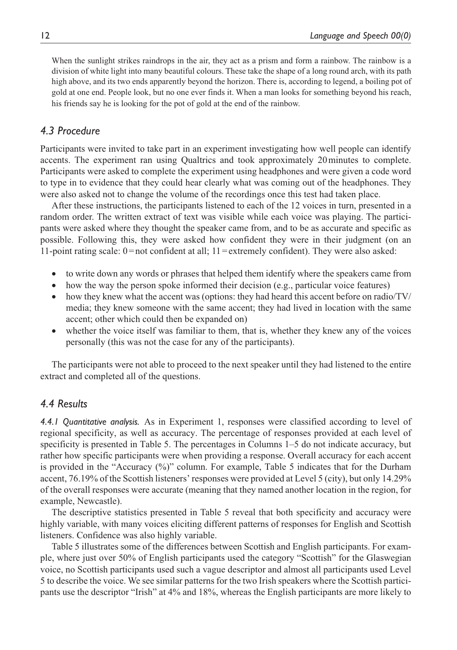When the sunlight strikes raindrops in the air, they act as a prism and form a rainbow. The rainbow is a division of white light into many beautiful colours. These take the shape of a long round arch, with its path high above, and its two ends apparently beyond the horizon. There is, according to legend, a boiling pot of gold at one end. People look, but no one ever finds it. When a man looks for something beyond his reach, his friends say he is looking for the pot of gold at the end of the rainbow.

## *4.3 Procedure*

Participants were invited to take part in an experiment investigating how well people can identify accents. The experiment ran using Qualtrics and took approximately 20minutes to complete. Participants were asked to complete the experiment using headphones and were given a code word to type in to evidence that they could hear clearly what was coming out of the headphones. They were also asked not to change the volume of the recordings once this test had taken place.

After these instructions, the participants listened to each of the 12 voices in turn, presented in a random order. The written extract of text was visible while each voice was playing. The participants were asked where they thought the speaker came from, and to be as accurate and specific as possible. Following this, they were asked how confident they were in their judgment (on an 11-point rating scale:  $0 = not$  confident at all;  $11 =$  extremely confident). They were also asked:

- to write down any words or phrases that helped them identify where the speakers came from
- how the way the person spoke informed their decision (e.g., particular voice features)
- how they knew what the accent was (options: they had heard this accent before on radio/TV/ media; they knew someone with the same accent; they had lived in location with the same accent; other which could then be expanded on)
- whether the voice itself was familiar to them, that is, whether they knew any of the voices personally (this was not the case for any of the participants).

The participants were not able to proceed to the next speaker until they had listened to the entire extract and completed all of the questions.

## *4.4 Results*

*4.4.1 Quantitative analysis.* As in Experiment 1, responses were classified according to level of regional specificity, as well as accuracy. The percentage of responses provided at each level of specificity is presented in Table 5. The percentages in Columns 1–5 do not indicate accuracy, but rather how specific participants were when providing a response. Overall accuracy for each accent is provided in the "Accuracy (%)" column. For example, Table 5 indicates that for the Durham accent, 76.19% of the Scottish listeners' responses were provided at Level 5 (city), but only 14.29% of the overall responses were accurate (meaning that they named another location in the region, for example, Newcastle).

The descriptive statistics presented in Table 5 reveal that both specificity and accuracy were highly variable, with many voices eliciting different patterns of responses for English and Scottish listeners. Confidence was also highly variable.

Table 5 illustrates some of the differences between Scottish and English participants. For example, where just over 50% of English participants used the category "Scottish" for the Glaswegian voice, no Scottish participants used such a vague descriptor and almost all participants used Level 5 to describe the voice. We see similar patterns for the two Irish speakers where the Scottish participants use the descriptor "Irish" at 4% and 18%, whereas the English participants are more likely to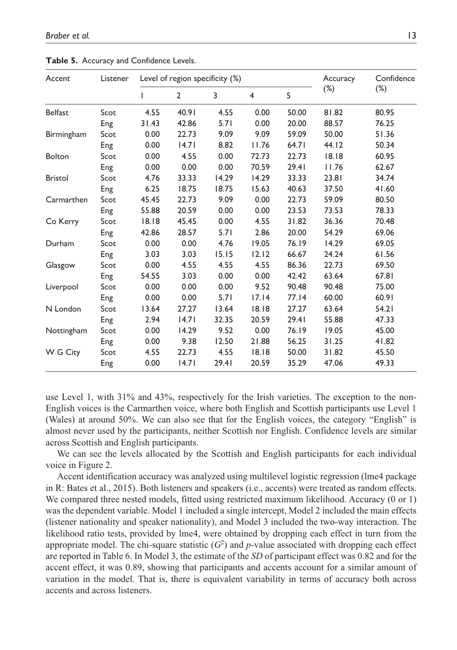| Accent         | Listener | Level of region specificity (%) |                |       |                | Accuracy | Confidence |        |
|----------------|----------|---------------------------------|----------------|-------|----------------|----------|------------|--------|
|                |          | ı                               | $\overline{2}$ | 3     | $\overline{4}$ | 5        | $(\%)$     | $(\%)$ |
| <b>Belfast</b> | Scot     | 4.55                            | 40.91          | 4.55  | 0.00           | 50.00    | 81.82      | 80.95  |
|                | Eng      | 31.43                           | 42.86          | 5.71  | 0.00           | 20.00    | 88.57      | 76.25  |
| Birmingham     | Scot     | 0.00                            | 22.73          | 9.09  | 9.09           | 59.09    | 50.00      | 51.36  |
|                | Eng      | 0.00                            | 14.71          | 8.82  | 11.76          | 64.71    | 44.12      | 50.34  |
| <b>Bolton</b>  | Scot     | 0.00                            | 4.55           | 0.00  | 72.73          | 22.73    | 18.18      | 60.95  |
|                | Eng      | 0.00                            | 0.00           | 0.00  | 70.59          | 29.41    | 11.76      | 62.67  |
| <b>Bristol</b> | Scot     | 4.76                            | 33.33          | 14.29 | 14.29          | 33.33    | 23.81      | 34.74  |
|                | Eng      | 6.25                            | 18.75          | 18.75 | 15.63          | 40.63    | 37.50      | 41.60  |
| Carmarthen     | Scot     | 45.45                           | 22.73          | 9.09  | 0.00           | 22.73    | 59.09      | 80.50  |
|                | Eng      | 55.88                           | 20.59          | 0.00  | 0.00           | 23.53    | 73.53      | 78.33  |
| Co Kerry       | Scot     | 18.18                           | 45.45          | 0.00  | 4.55           | 31.82    | 36.36      | 70.48  |
|                | Eng      | 42.86                           | 28.57          | 5.71  | 2.86           | 20.00    | 54.29      | 69.06  |
| Durham         | Scot     | 0.00                            | 0.00           | 4.76  | 19.05          | 76.19    | 14.29      | 69.05  |
|                | Eng      | 3.03                            | 3.03           | 15.15 | 12.12          | 66.67    | 24.24      | 61.56  |
| Glasgow        | Scot     | 0.00                            | 4.55           | 4.55  | 4.55           | 86.36    | 22.73      | 69.50  |
|                | Eng      | 54.55                           | 3.03           | 0.00  | 0.00           | 42.42    | 63.64      | 67.81  |
| Liverpool      | Scot     | 0.00                            | 0.00           | 0.00  | 9.52           | 90.48    | 90.48      | 75.00  |
|                | Eng      | 0.00                            | 0.00           | 5.71  | 17.14          | 77.14    | 60.00      | 60.91  |
| N London       | Scot     | 13.64                           | 27.27          | 13.64 | 18.18          | 27.27    | 63.64      | 54.21  |
|                | Eng      | 2.94                            | 14.71          | 32.35 | 20.59          | 29.41    | 55.88      | 47.33  |
| Nottingham     | Scot     | 0.00                            | 14.29          | 9.52  | 0.00           | 76.19    | 19.05      | 45.00  |
|                | Eng      | 0.00                            | 9.38           | 12.50 | 21.88          | 56.25    | 31.25      | 41.82  |
| W G City       | Scot     | 4.55                            | 22.73          | 4.55  | 18.18          | 50.00    | 31.82      | 45.50  |
|                | Eng      | 0.00                            | 14.71          | 29.41 | 20.59          | 35.29    | 47.06      | 49.33  |

**Table 5.** Accuracy and Confidence Levels.

use Level 1, with 31% and 43%, respectively for the Irish varieties. The exception to the non-English voices is the Carmarthen voice, where both English and Scottish participants use Level 1 (Wales) at around 50%. We can also see that for the English voices, the category "English" is almost never used by the participants, neither Scottish nor English. Confidence levels are similar across Scottish and English participants.

We can see the levels allocated by the Scottish and English participants for each individual voice in Figure 2.

Accent identification accuracy was analyzed using multilevel logistic regression (lme4 package in R: Bates et al., 2015). Both listeners and speakers (i.e., accents) were treated as random effects. We compared three nested models, fitted using restricted maximum likelihood. Accuracy (0 or 1) was the dependent variable. Model 1 included a single intercept, Model 2 included the main effects (listener nationality and speaker nationality), and Model 3 included the two-way interaction. The likelihood ratio tests, provided by lme4, were obtained by dropping each effect in turn from the appropriate model. The chi-square statistic  $(G^2)$  and *p*-value associated with dropping each effect are reported in Table 6. In Model 3, the estimate of the *SD* of participant effect was 0.82 and for the accent effect, it was 0.89, showing that participants and accents account for a similar amount of variation in the model. That is, there is equivalent variability in terms of accuracy both across accents and across listeners.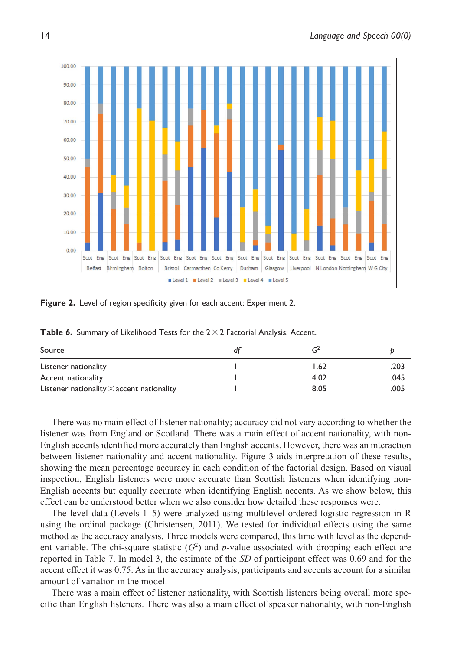

**Figure 2.** Level of region specificity given for each accent: Experiment 2.

| Source                                           |      |      |
|--------------------------------------------------|------|------|
| Listener nationality                             | 1.62 | .203 |
| Accent nationality                               | 4.02 | .045 |
| Listener nationality $\times$ accent nationality | 8.05 | .005 |

Table 6. Summary of Likelihood Tests for the 2 × 2 Factorial Analysis: Accent.

There was no main effect of listener nationality; accuracy did not vary according to whether the listener was from England or Scotland. There was a main effect of accent nationality, with non-English accents identified more accurately than English accents. However, there was an interaction between listener nationality and accent nationality. Figure 3 aids interpretation of these results, showing the mean percentage accuracy in each condition of the factorial design. Based on visual inspection, English listeners were more accurate than Scottish listeners when identifying non-English accents but equally accurate when identifying English accents. As we show below, this effect can be understood better when we also consider how detailed these responses were.

The level data (Levels 1–5) were analyzed using multilevel ordered logistic regression in R using the ordinal package (Christensen, 2011). We tested for individual effects using the same method as the accuracy analysis. Three models were compared, this time with level as the dependent variable. The chi-square statistic  $(G^2)$  and *p*-value associated with dropping each effect are reported in Table 7. In model 3, the estimate of the *SD* of participant effect was 0.69 and for the accent effect it was 0.75. As in the accuracy analysis, participants and accents account for a similar amount of variation in the model.

There was a main effect of listener nationality, with Scottish listeners being overall more specific than English listeners. There was also a main effect of speaker nationality, with non-English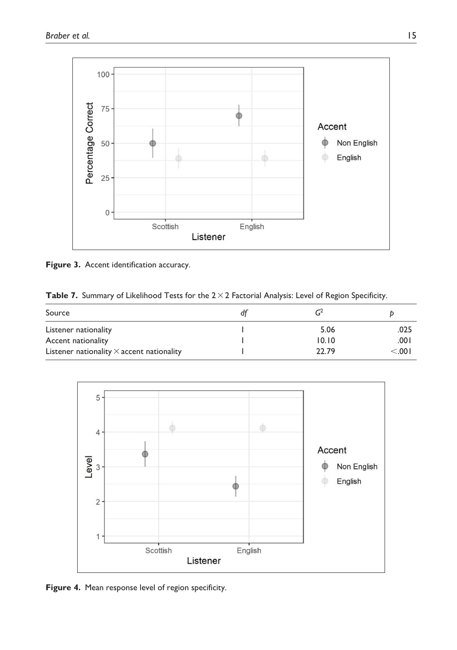

Figure 3. Accent identification accuracy.

Table 7. Summary of Likelihood Tests for the 2 × 2 Factorial Analysis: Level of Region Specificity.

| Source                                           |       |        |
|--------------------------------------------------|-------|--------|
| Listener nationality                             | 5.06  | .025   |
| Accent nationality                               | 10.10 | .001   |
| Listener nationality $\times$ accent nationality | 22.79 | < 0.01 |



**Figure 4.** Mean response level of region specificity.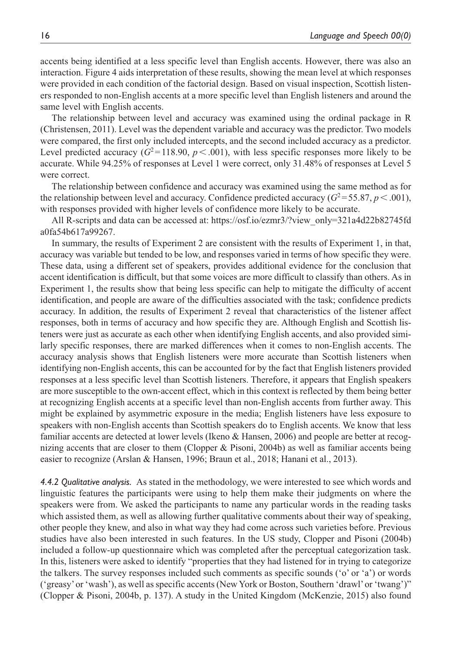accents being identified at a less specific level than English accents. However, there was also an interaction. Figure 4 aids interpretation of these results, showing the mean level at which responses were provided in each condition of the factorial design. Based on visual inspection, Scottish listeners responded to non-English accents at a more specific level than English listeners and around the same level with English accents.

The relationship between level and accuracy was examined using the ordinal package in R (Christensen, 2011). Level was the dependent variable and accuracy was the predictor. Two models were compared, the first only included intercepts, and the second included accuracy as a predictor. Level predicted accuracy  $(G^2=118.90, p<.001)$ , with less specific responses more likely to be accurate. While 94.25% of responses at Level 1 were correct, only 31.48% of responses at Level 5 were correct.

The relationship between confidence and accuracy was examined using the same method as for the relationship between level and accuracy. Confidence predicted accuracy ( $G^2$ =55.87,  $p$  < .001), with responses provided with higher levels of confidence more likely to be accurate.

All R-scripts and data can be accessed at: [https://osf.io/ezmr3/?view\\_only=321a4d22b82745fd](https://osf.io/ezmr3/?view_only=321a4d22b82745fda0fa54b617a99267) [a0fa54b617a99267](https://osf.io/ezmr3/?view_only=321a4d22b82745fda0fa54b617a99267).

In summary, the results of Experiment 2 are consistent with the results of Experiment 1, in that, accuracy was variable but tended to be low, and responses varied in terms of how specific they were. These data, using a different set of speakers, provides additional evidence for the conclusion that accent identification is difficult, but that some voices are more difficult to classify than others. As in Experiment 1, the results show that being less specific can help to mitigate the difficulty of accent identification, and people are aware of the difficulties associated with the task; confidence predicts accuracy. In addition, the results of Experiment 2 reveal that characteristics of the listener affect responses, both in terms of accuracy and how specific they are. Although English and Scottish listeners were just as accurate as each other when identifying English accents, and also provided similarly specific responses, there are marked differences when it comes to non-English accents. The accuracy analysis shows that English listeners were more accurate than Scottish listeners when identifying non-English accents, this can be accounted for by the fact that English listeners provided responses at a less specific level than Scottish listeners. Therefore, it appears that English speakers are more susceptible to the own-accent effect, which in this context is reflected by them being better at recognizing English accents at a specific level than non-English accents from further away. This might be explained by asymmetric exposure in the media; English listeners have less exposure to speakers with non-English accents than Scottish speakers do to English accents. We know that less familiar accents are detected at lower levels (Ikeno & Hansen, 2006) and people are better at recognizing accents that are closer to them (Clopper & Pisoni, 2004b) as well as familiar accents being easier to recognize (Arslan & Hansen, 1996; Braun et al., 2018; Hanani et al., 2013).

*4.4.2 Qualitative analysis.* As stated in the methodology, we were interested to see which words and linguistic features the participants were using to help them make their judgments on where the speakers were from. We asked the participants to name any particular words in the reading tasks which assisted them, as well as allowing further qualitative comments about their way of speaking, other people they knew, and also in what way they had come across such varieties before. Previous studies have also been interested in such features. In the US study, Clopper and Pisoni (2004b) included a follow-up questionnaire which was completed after the perceptual categorization task. In this, listeners were asked to identify "properties that they had listened for in trying to categorize the talkers. The survey responses included such comments as specific sounds ('o' or 'a') or words ('greasy' or 'wash'), as well as specific accents (New York or Boston, Southern 'drawl' or 'twang')" (Clopper & Pisoni, 2004b, p. 137). A study in the United Kingdom (McKenzie, 2015) also found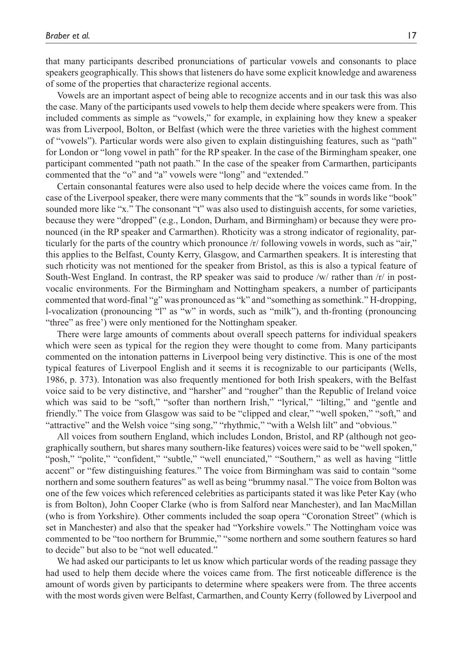that many participants described pronunciations of particular vowels and consonants to place speakers geographically. This shows that listeners do have some explicit knowledge and awareness of some of the properties that characterize regional accents.

Vowels are an important aspect of being able to recognize accents and in our task this was also the case. Many of the participants used vowels to help them decide where speakers were from. This included comments as simple as "vowels," for example, in explaining how they knew a speaker was from Liverpool, Bolton, or Belfast (which were the three varieties with the highest comment of "vowels"). Particular words were also given to explain distinguishing features, such as "path" for London or "long vowel in path" for the RP speaker. In the case of the Birmingham speaker, one participant commented "path not paath." In the case of the speaker from Carmarthen, participants commented that the "o" and "a" vowels were "long" and "extended."

Certain consonantal features were also used to help decide where the voices came from. In the case of the Liverpool speaker, there were many comments that the "k" sounds in words like "book" sounded more like "x." The consonant "t" was also used to distinguish accents, for some varieties, because they were "dropped" (e.g., London, Durham, and Birmingham) or because they were pronounced (in the RP speaker and Carmarthen). Rhoticity was a strong indicator of regionality, particularly for the parts of the country which pronounce /r/ following vowels in words, such as "air," this applies to the Belfast, County Kerry, Glasgow, and Carmarthen speakers. It is interesting that such rhoticity was not mentioned for the speaker from Bristol, as this is also a typical feature of South-West England. In contrast, the RP speaker was said to produce /w/ rather than /r/ in postvocalic environments. For the Birmingham and Nottingham speakers, a number of participants commented that word-final "g" was pronounced as "k" and "something as somethink." H-dropping, l-vocalization (pronouncing "l" as "w" in words, such as "milk"), and th-fronting (pronouncing "three" as free') were only mentioned for the Nottingham speaker.

There were large amounts of comments about overall speech patterns for individual speakers which were seen as typical for the region they were thought to come from. Many participants commented on the intonation patterns in Liverpool being very distinctive. This is one of the most typical features of Liverpool English and it seems it is recognizable to our participants (Wells, 1986, p. 373). Intonation was also frequently mentioned for both Irish speakers, with the Belfast voice said to be very distinctive, and "harsher" and "rougher" than the Republic of Ireland voice which was said to be "soft," "softer than northern Irish," "lyrical," "lilting," and "gentle and friendly." The voice from Glasgow was said to be "clipped and clear," "well spoken," "soft," and "attractive" and the Welsh voice "sing song," "rhythmic," "with a Welsh lilt" and "obvious."

All voices from southern England, which includes London, Bristol, and RP (although not geographically southern, but shares many southern-like features) voices were said to be "well spoken," "posh," "polite," "confident," "subtle," "well enunciated," "Southern," as well as having "little accent" or "few distinguishing features." The voice from Birmingham was said to contain "some northern and some southern features" as well as being "brummy nasal." The voice from Bolton was one of the few voices which referenced celebrities as participants stated it was like Peter Kay (who is from Bolton), John Cooper Clarke (who is from Salford near Manchester), and Ian MacMillan (who is from Yorkshire). Other comments included the soap opera "Coronation Street" (which is set in Manchester) and also that the speaker had "Yorkshire vowels." The Nottingham voice was commented to be "too northern for Brummie," "some northern and some southern features so hard to decide" but also to be "not well educated."

We had asked our participants to let us know which particular words of the reading passage they had used to help them decide where the voices came from. The first noticeable difference is the amount of words given by participants to determine where speakers were from. The three accents with the most words given were Belfast, Carmarthen, and County Kerry (followed by Liverpool and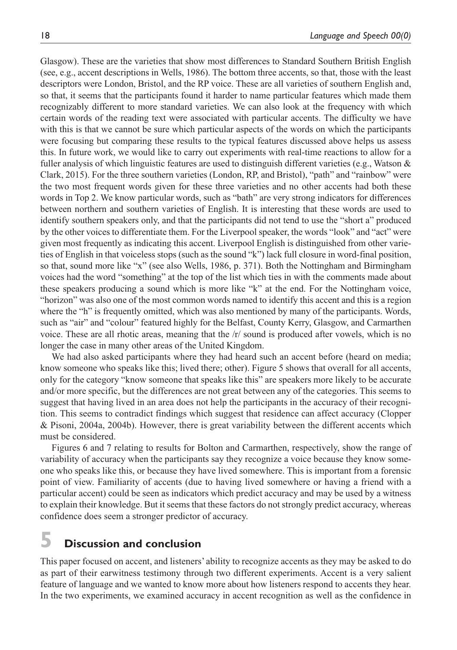Glasgow). These are the varieties that show most differences to Standard Southern British English (see, e.g., accent descriptions in Wells, 1986). The bottom three accents, so that, those with the least descriptors were London, Bristol, and the RP voice. These are all varieties of southern English and, so that, it seems that the participants found it harder to name particular features which made them recognizably different to more standard varieties. We can also look at the frequency with which certain words of the reading text were associated with particular accents. The difficulty we have with this is that we cannot be sure which particular aspects of the words on which the participants were focusing but comparing these results to the typical features discussed above helps us assess this. In future work, we would like to carry out experiments with real-time reactions to allow for a fuller analysis of which linguistic features are used to distinguish different varieties (e.g., Watson & Clark, 2015). For the three southern varieties (London, RP, and Bristol), "path" and "rainbow" were the two most frequent words given for these three varieties and no other accents had both these words in Top 2. We know particular words, such as "bath" are very strong indicators for differences between northern and southern varieties of English. It is interesting that these words are used to identify southern speakers only, and that the participants did not tend to use the "short a" produced by the other voices to differentiate them. For the Liverpool speaker, the words "look" and "act" were given most frequently as indicating this accent. Liverpool English is distinguished from other varieties of English in that voiceless stops (such as the sound "k") lack full closure in word-final position, so that, sound more like "x" (see also Wells, 1986, p. 371). Both the Nottingham and Birmingham voices had the word "something" at the top of the list which ties in with the comments made about these speakers producing a sound which is more like "k" at the end. For the Nottingham voice, "horizon" was also one of the most common words named to identify this accent and this is a region where the "h" is frequently omitted, which was also mentioned by many of the participants. Words, such as "air" and "colour" featured highly for the Belfast, County Kerry, Glasgow, and Carmarthen voice. These are all rhotic areas, meaning that the /r/ sound is produced after vowels, which is no longer the case in many other areas of the United Kingdom.

We had also asked participants where they had heard such an accent before (heard on media; know someone who speaks like this; lived there; other). Figure 5 shows that overall for all accents, only for the category "know someone that speaks like this" are speakers more likely to be accurate and/or more specific, but the differences are not great between any of the categories. This seems to suggest that having lived in an area does not help the participants in the accuracy of their recognition. This seems to contradict findings which suggest that residence can affect accuracy (Clopper & Pisoni, 2004a, 2004b). However, there is great variability between the different accents which must be considered.

Figures 6 and 7 relating to results for Bolton and Carmarthen, respectively, show the range of variability of accuracy when the participants say they recognize a voice because they know someone who speaks like this, or because they have lived somewhere. This is important from a forensic point of view. Familiarity of accents (due to having lived somewhere or having a friend with a particular accent) could be seen as indicators which predict accuracy and may be used by a witness to explain their knowledge. But it seems that these factors do not strongly predict accuracy, whereas confidence does seem a stronger predictor of accuracy.

## **5 Discussion and conclusion**

This paper focused on accent, and listeners' ability to recognize accents as they may be asked to do as part of their earwitness testimony through two different experiments. Accent is a very salient feature of language and we wanted to know more about how listeners respond to accents they hear. In the two experiments, we examined accuracy in accent recognition as well as the confidence in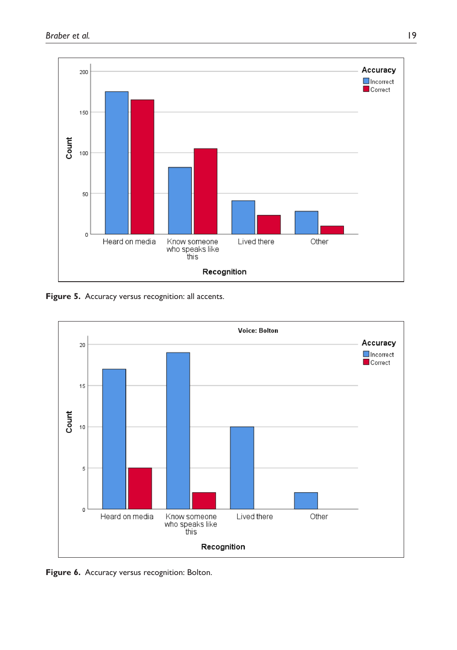

Figure 5. Accuracy versus recognition: all accents.



**Figure 6.** Accuracy versus recognition: Bolton.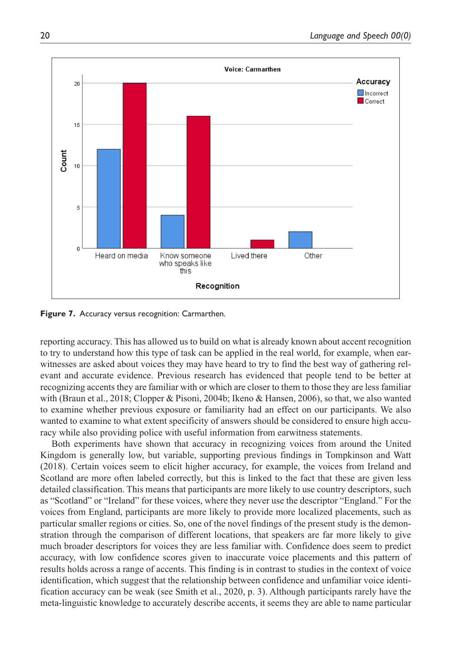

**Figure 7.** Accuracy versus recognition: Carmarthen.

reporting accuracy. This has allowed us to build on what is already known about accent recognition to try to understand how this type of task can be applied in the real world, for example, when earwitnesses are asked about voices they may have heard to try to find the best way of gathering relevant and accurate evidence. Previous research has evidenced that people tend to be better at recognizing accents they are familiar with or which are closer to them to those they are less familiar with (Braun et al., 2018; Clopper & Pisoni, 2004b; Ikeno & Hansen, 2006), so that, we also wanted to examine whether previous exposure or familiarity had an effect on our participants. We also wanted to examine to what extent specificity of answers should be considered to ensure high accuracy while also providing police with useful information from earwitness statements.

Both experiments have shown that accuracy in recognizing voices from around the United Kingdom is generally low, but variable, supporting previous findings in Tompkinson and Watt (2018). Certain voices seem to elicit higher accuracy, for example, the voices from Ireland and Scotland are more often labeled correctly, but this is linked to the fact that these are given less detailed classification. This means that participants are more likely to use country descriptors, such as "Scotland" or "Ireland" for these voices, where they never use the descriptor "England." For the voices from England, participants are more likely to provide more localized placements, such as particular smaller regions or cities. So, one of the novel findings of the present study is the demonstration through the comparison of different locations, that speakers are far more likely to give much broader descriptors for voices they are less familiar with. Confidence does seem to predict accuracy, with low confidence scores given to inaccurate voice placements and this pattern of results holds across a range of accents. This finding is in contrast to studies in the context of voice identification, which suggest that the relationship between confidence and unfamiliar voice identification accuracy can be weak (see Smith et al., 2020, p. 3). Although participants rarely have the meta-linguistic knowledge to accurately describe accents, it seems they are able to name particular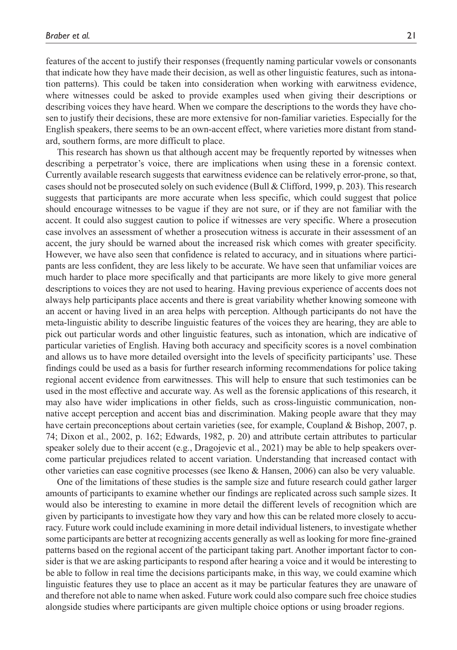features of the accent to justify their responses (frequently naming particular vowels or consonants that indicate how they have made their decision, as well as other linguistic features, such as intonation patterns). This could be taken into consideration when working with earwitness evidence, where witnesses could be asked to provide examples used when giving their descriptions or describing voices they have heard. When we compare the descriptions to the words they have chosen to justify their decisions, these are more extensive for non-familiar varieties. Especially for the English speakers, there seems to be an own-accent effect, where varieties more distant from standard, southern forms, are more difficult to place.

This research has shown us that although accent may be frequently reported by witnesses when describing a perpetrator's voice, there are implications when using these in a forensic context. Currently available research suggests that earwitness evidence can be relatively error-prone, so that, cases should not be prosecuted solely on such evidence (Bull & Clifford, 1999, p. 203). This research suggests that participants are more accurate when less specific, which could suggest that police should encourage witnesses to be vague if they are not sure, or if they are not familiar with the accent. It could also suggest caution to police if witnesses are very specific. Where a prosecution case involves an assessment of whether a prosecution witness is accurate in their assessment of an accent, the jury should be warned about the increased risk which comes with greater specificity. However, we have also seen that confidence is related to accuracy, and in situations where participants are less confident, they are less likely to be accurate. We have seen that unfamiliar voices are much harder to place more specifically and that participants are more likely to give more general descriptions to voices they are not used to hearing. Having previous experience of accents does not always help participants place accents and there is great variability whether knowing someone with an accent or having lived in an area helps with perception. Although participants do not have the meta-linguistic ability to describe linguistic features of the voices they are hearing, they are able to pick out particular words and other linguistic features, such as intonation, which are indicative of particular varieties of English. Having both accuracy and specificity scores is a novel combination and allows us to have more detailed oversight into the levels of specificity participants' use. These findings could be used as a basis for further research informing recommendations for police taking regional accent evidence from earwitnesses. This will help to ensure that such testimonies can be used in the most effective and accurate way. As well as the forensic applications of this research, it may also have wider implications in other fields, such as cross-linguistic communication, nonnative accept perception and accent bias and discrimination. Making people aware that they may have certain preconceptions about certain varieties (see, for example, Coupland & Bishop, 2007, p. 74; Dixon et al., 2002, p. 162; Edwards, 1982, p. 20) and attribute certain attributes to particular speaker solely due to their accent (e.g., Dragojevic et al., 2021) may be able to help speakers overcome particular prejudices related to accent variation. Understanding that increased contact with other varieties can ease cognitive processes (see Ikeno & Hansen, 2006) can also be very valuable.

One of the limitations of these studies is the sample size and future research could gather larger amounts of participants to examine whether our findings are replicated across such sample sizes. It would also be interesting to examine in more detail the different levels of recognition which are given by participants to investigate how they vary and how this can be related more closely to accuracy. Future work could include examining in more detail individual listeners, to investigate whether some participants are better at recognizing accents generally as well as looking for more fine-grained patterns based on the regional accent of the participant taking part. Another important factor to consider is that we are asking participants to respond after hearing a voice and it would be interesting to be able to follow in real time the decisions participants make, in this way, we could examine which linguistic features they use to place an accent as it may be particular features they are unaware of and therefore not able to name when asked. Future work could also compare such free choice studies alongside studies where participants are given multiple choice options or using broader regions.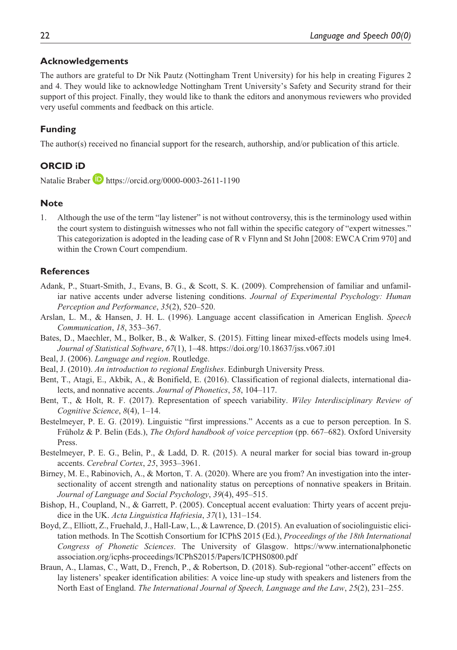### **Acknowledgements**

The authors are grateful to Dr Nik Pautz (Nottingham Trent University) for his help in creating Figures 2 and 4. They would like to acknowledge Nottingham Trent University's Safety and Security strand for their support of this project. Finally, they would like to thank the editors and anonymous reviewers who provided very useful comments and feedback on this article.

## **Funding**

The author(s) received no financial support for the research, authorship, and/or publication of this article.

## **ORCID iD**

Natalie Braber **(D**) <https://orcid.org/0000-0003-2611-1190>

## **Note**

1. Although the use of the term "lay listener" is not without controversy, this is the terminology used within the court system to distinguish witnesses who not fall within the specific category of "expert witnesses." This categorization is adopted in the leading case of R v Flynn and St John [2008: EWCA Crim 970] and within the Crown Court compendium.

## **References**

- Adank, P., Stuart-Smith, J., Evans, B. G., & Scott, S. K. (2009). Comprehension of familiar and unfamiliar native accents under adverse listening conditions. *Journal of Experimental Psychology: Human Perception and Performance*, *35*(2), 520–520.
- Arslan, L. M., & Hansen, J. H. L. (1996). Language accent classification in American English. *Speech Communication*, *18*, 353–367.
- Bates, D., Maechler, M., Bolker, B., & Walker, S. (2015). Fitting linear mixed-effects models using lme4. *Journal of Statistical Software*, *67*(1), 1–48.<https://doi.org/10.18637/jss.v067.i01>
- Beal, J. (2006). *Language and region*. Routledge.
- Beal, J. (2010). *An introduction to regional Englishes*. Edinburgh University Press.
- Bent, T., Atagi, E., Akbik, A., & Bonifield, E. (2016). Classification of regional dialects, international dialects, and nonnative accents. *Journal of Phonetics*, *58*, 104–117.
- Bent, T., & Holt, R. F. (2017). Representation of speech variability. *Wiley Interdisciplinary Review of Cognitive Science*, *8*(4), 1–14.
- Bestelmeyer, P. E. G. (2019). Linguistic "first impressions." Accents as a cue to person perception. In S. Früholz & P. Belin (Eds.), *The Oxford handbook of voice perception* (pp. 667–682). Oxford University Press.
- Bestelmeyer, P. E. G., Belin, P., & Ladd, D. R. (2015). A neural marker for social bias toward in-group accents. *Cerebral Cortex*, *25*, 3953–3961.
- Birney, M. E., Rabinovich, A., & Morton, T. A. (2020). Where are you from? An investigation into the intersectionality of accent strength and nationality status on perceptions of nonnative speakers in Britain. *Journal of Language and Social Psychology*, *39*(4), 495–515.
- Bishop, H., Coupland, N., & Garrett, P. (2005). Conceptual accent evaluation: Thirty years of accent prejudice in the UK. *Acta Linguistica Hafriesia*, *37*(1), 131–154.
- Boyd, Z., Elliott, Z., Fruehald, J., Hall-Law, L., & Lawrence, D. (2015). An evaluation of sociolinguistic elicitation methods. In The Scottish Consortium for ICPhS 2015 (Ed.), *Proceedings of the 18th International Congress of Phonetic Sciences*. The University of Glasgow. [https://www.internationalphonetic](https://www.internationalphoneticassociation.org/icphs-proceedings/ICPhS2015/Papers/ICPHS0800.pdf) [association.org/icphs-proceedings/ICPhS2015/Papers/ICPHS0800.pdf](https://www.internationalphoneticassociation.org/icphs-proceedings/ICPhS2015/Papers/ICPHS0800.pdf)
- Braun, A., Llamas, C., Watt, D., French, P., & Robertson, D. (2018). Sub-regional "other-accent" effects on lay listeners' speaker identification abilities: A voice line-up study with speakers and listeners from the North East of England. *The International Journal of Speech, Language and the Law*, *25*(2), 231–255.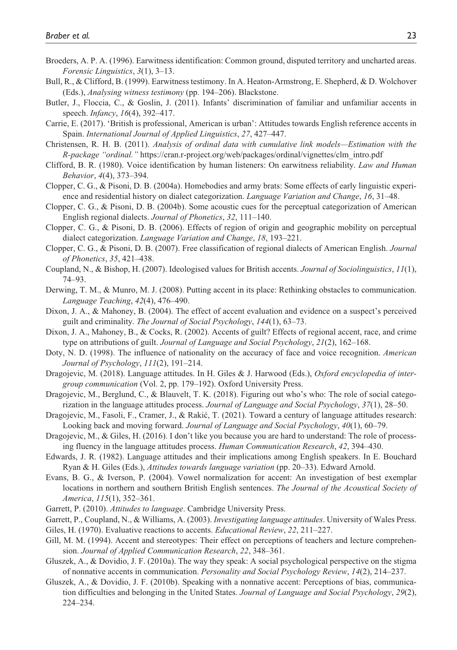- Broeders, A. P. A. (1996). Earwitness identification: Common ground, disputed territory and uncharted areas. *Forensic Linguistics*, *3*(1), 3–13.
- Bull, R., & Clifford, B. (1999). Earwitness testimony. In A. Heaton-Armstrong, E. Shepherd, & D. Wolchover (Eds.), *Analysing witness testimony* (pp. 194–206). Blackstone.
- Butler, J., Floccia, C., & Goslin, J. (2011). Infants' discrimination of familiar and unfamiliar accents in speech. *Infancy*, *16*(4), 392–417.
- Carrie, E. (2017). 'British is professional, American is urban': Attitudes towards English reference accents in Spain. *International Journal of Applied Linguistics*, *27*, 427–447.
- Christensen, R. H. B. (2011). *Analysis of ordinal data with cumulative link models—Estimation with the R-package "ordinal."* [https://cran.r-project.org/web/packages/ordinal/vignettes/clm\\_intro.pdf](https://cran.r-project.org/web/packages/ordinal/vignettes/clm_intro.pdf)
- Clifford, B. R. (1980). Voice identification by human listeners: On earwitness reliability. *Law and Human Behavior*, *4*(4), 373–394.
- Clopper, C. G., & Pisoni, D. B. (2004a). Homebodies and army brats: Some effects of early linguistic experience and residential history on dialect categorization. *Language Variation and Change*, *16*, 31–48.
- Clopper, C. G., & Pisoni, D. B. (2004b). Some acoustic cues for the perceptual categorization of American English regional dialects. *Journal of Phonetics*, *32*, 111–140.
- Clopper, C. G., & Pisoni, D. B. (2006). Effects of region of origin and geographic mobility on perceptual dialect categorization. *Language Variation and Change*, *18*, 193–221.
- Clopper, C. G., & Pisoni, D. B. (2007). Free classification of regional dialects of American English. *Journal of Phonetics*, *35*, 421–438.
- Coupland, N., & Bishop, H. (2007). Ideologised values for British accents. *Journal of Sociolinguistics*, *11*(1), 74–93.
- Derwing, T. M., & Munro, M. J. (2008). Putting accent in its place: Rethinking obstacles to communication. *Language Teaching*, *42*(4), 476–490.
- Dixon, J. A., & Mahoney, B. (2004). The effect of accent evaluation and evidence on a suspect's perceived guilt and criminality. *The Journal of Social Psychology*, *144*(1), 63–73.
- Dixon, J. A., Mahoney, B., & Cocks, R. (2002). Accents of guilt? Effects of regional accent, race, and crime type on attributions of guilt. *Journal of Language and Social Psychology*, *21*(2), 162–168.
- Doty, N. D. (1998). The influence of nationality on the accuracy of face and voice recognition. *American Journal of Psychology*, *111*(2), 191–214.
- Dragojevic, M. (2018). Language attitudes. In H. Giles & J. Harwood (Eds.), *Oxford encyclopedia of intergroup communication* (Vol. 2, pp. 179–192). Oxford University Press.
- Dragojevic, M., Berglund, C., & Blauvelt, T. K. (2018). Figuring out who's who: The role of social categorization in the language attitudes process. *Journal of Language and Social Psychology*, *37*(1), 28–50.
- Dragojevic, M., Fasoli, F., Cramer, J., & Rakić, T. (2021). Toward a century of language attitudes research: Looking back and moving forward. *Journal of Language and Social Psychology*, *40*(1), 60–79.
- Dragojevic, M., & Giles, H. (2016). I don't like you because you are hard to understand: The role of processing fluency in the language attitudes process. *Human Communication Research*, *42*, 394–430.
- Edwards, J. R. (1982). Language attitudes and their implications among English speakers. In E. Bouchard Ryan & H. Giles (Eds.), *Attitudes towards language variation* (pp. 20–33). Edward Arnold.
- Evans, B. G., & Iverson, P. (2004). Vowel normalization for accent: An investigation of best exemplar locations in northern and southern British English sentences. *The Journal of the Acoustical Society of America*, *115*(1), 352–361.
- Garrett, P. (2010). *Attitudes to language*. Cambridge University Press.
- Garrett, P., Coupland, N., & Williams, A. (2003). *Investigating language attitudes*. University of Wales Press.
- Giles, H. (1970). Evaluative reactions to accents. *Educational Review*, *22*, 211–227.
- Gill, M. M. (1994). Accent and stereotypes: Their effect on perceptions of teachers and lecture comprehension. *Journal of Applied Communication Research*, *22*, 348–361.
- Gluszek, A., & Dovidio, J. F. (2010a). The way they speak: A social psychological perspective on the stigma of nonnative accents in communication. *Personality and Social Psychology Review*, *14*(2), 214–237.
- Gluszek, A., & Dovidio, J. F. (2010b). Speaking with a nonnative accent: Perceptions of bias, communication difficulties and belonging in the United States. *Journal of Language and Social Psychology*, *29*(2), 224–234.